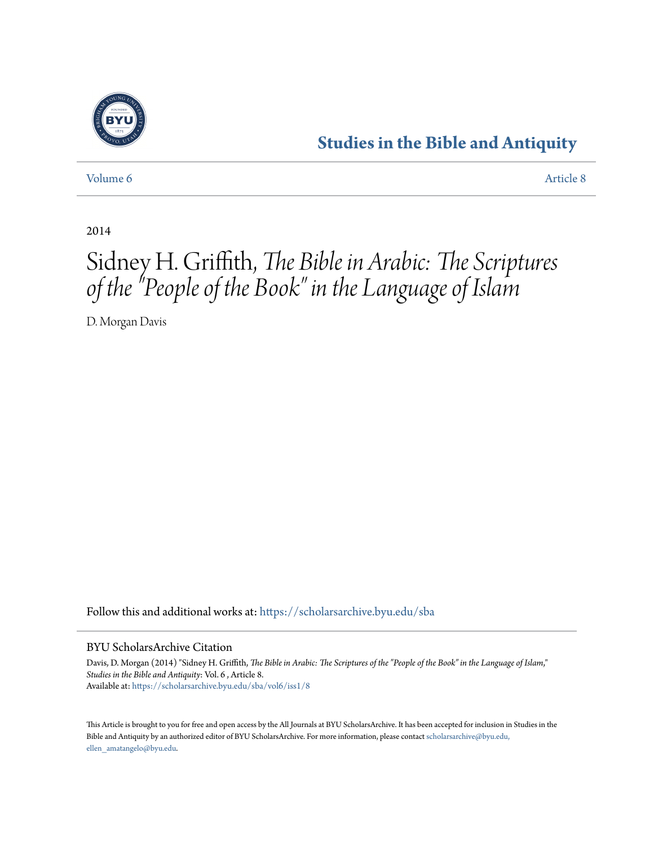

## **[Studies in the Bible and Antiquity](https://scholarsarchive.byu.edu/sba?utm_source=scholarsarchive.byu.edu%2Fsba%2Fvol6%2Fiss1%2F8&utm_medium=PDF&utm_campaign=PDFCoverPages)**

[Volume 6](https://scholarsarchive.byu.edu/sba/vol6?utm_source=scholarsarchive.byu.edu%2Fsba%2Fvol6%2Fiss1%2F8&utm_medium=PDF&utm_campaign=PDFCoverPages) [Article 8](https://scholarsarchive.byu.edu/sba/vol6/iss1/8?utm_source=scholarsarchive.byu.edu%2Fsba%2Fvol6%2Fiss1%2F8&utm_medium=PDF&utm_campaign=PDFCoverPages)

2014

# Sidney H. Griffith, *The Bible in Arabic: The Scriptures of the "People of the Book" in the Language of Islam*

D. Morgan Davis

Follow this and additional works at: [https://scholarsarchive.byu.edu/sba](https://scholarsarchive.byu.edu/sba?utm_source=scholarsarchive.byu.edu%2Fsba%2Fvol6%2Fiss1%2F8&utm_medium=PDF&utm_campaign=PDFCoverPages)

#### BYU ScholarsArchive Citation

Davis, D. Morgan (2014) "Sidney H. Griffith, *The Bible in Arabic: The Scriptures of the "People of the Book" in the Language of Islam*," *Studies in the Bible and Antiquity*: Vol. 6 , Article 8. Available at: [https://scholarsarchive.byu.edu/sba/vol6/iss1/8](https://scholarsarchive.byu.edu/sba/vol6/iss1/8?utm_source=scholarsarchive.byu.edu%2Fsba%2Fvol6%2Fiss1%2F8&utm_medium=PDF&utm_campaign=PDFCoverPages)

This Article is brought to you for free and open access by the All Journals at BYU ScholarsArchive. It has been accepted for inclusion in Studies in the Bible and Antiquity by an authorized editor of BYU ScholarsArchive. For more information, please contact [scholarsarchive@byu.edu,](mailto:scholarsarchive@byu.edu,%20ellen_amatangelo@byu.edu) [ellen\\_amatangelo@byu.edu.](mailto:scholarsarchive@byu.edu,%20ellen_amatangelo@byu.edu)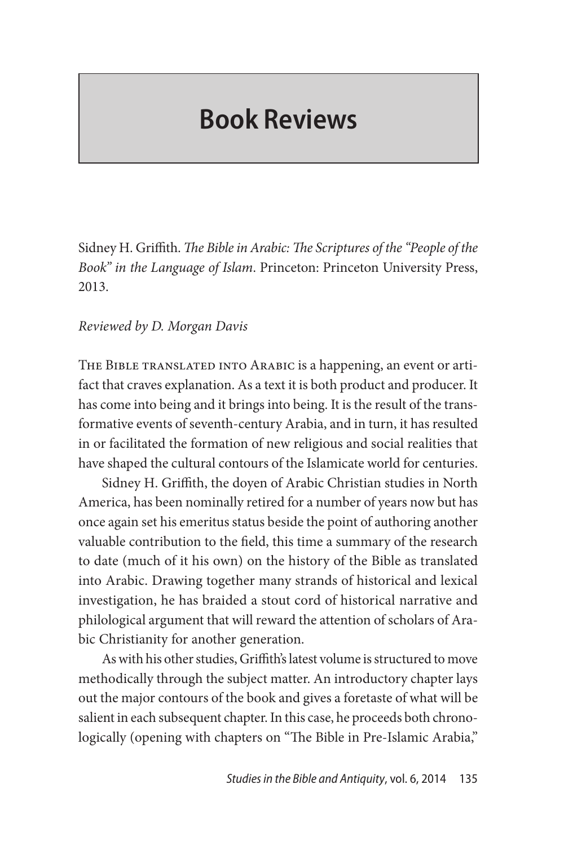# **Book Reviews**

Sidney H. Griffith. *The Bible in Arabic: The Scriptures of the "People of the Book" in the Language of Islam*. Princeton: Princeton University Press, 2013.

#### *Reviewed by D. Morgan Davis*

THE BIBLE TRANSLATED INTO ARABIC is a happening, an event or artifact that craves explanation. As a text it is both product and producer. It has come into being and it brings into being. It is the result of the transformative events of seventh-century Arabia, and in turn, it has resulted in or facilitated the formation of new religious and social realities that have shaped the cultural contours of the Islamicate world for centuries.

Sidney H. Griffith, the doyen of Arabic Christian studies in North America, has been nominally retired for a number of years now but has once again set his emeritus status beside the point of authoring another valuable contribution to the field, this time a summary of the research to date (much of it his own) on the history of the Bible as translated into Arabic. Drawing together many strands of historical and lexical investigation, he has braided a stout cord of historical narrative and philological argument that will reward the attention of scholars of Arabic Christianity for another generation.

As with his other studies, Griffith's latest volume is structured to move methodically through the subject matter. An introductory chapter lays out the major contours of the book and gives a foretaste of what will be salient in each subsequent chapter. In this case, he proceeds both chronologically (opening with chapters on "The Bible in Pre-Islamic Arabia,"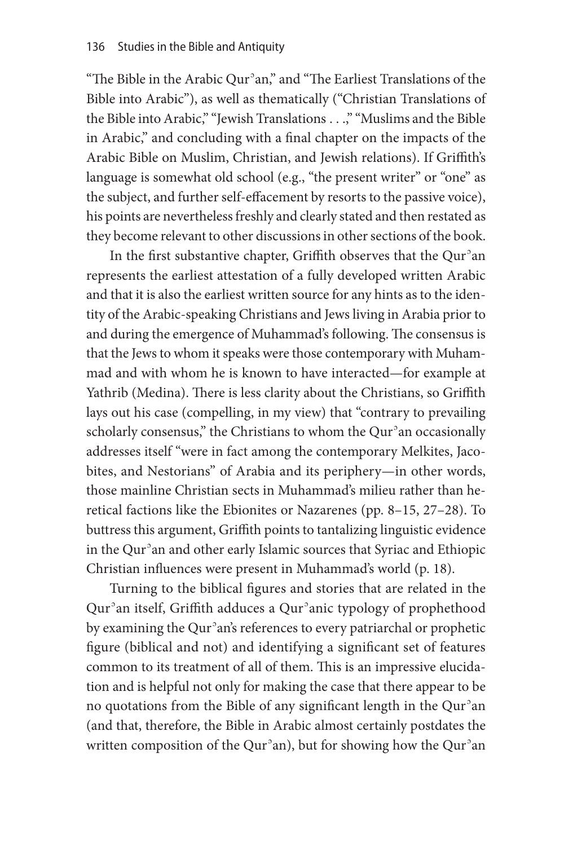"The Bible in the Arabic Qurʾan," and "The Earliest Translations of the Bible into Arabic"), as well as thematically ("Christian Translations of the Bible into Arabic," "Jewish Translations . . .," "Muslims and the Bible in Arabic," and concluding with a final chapter on the impacts of the Arabic Bible on Muslim, Christian, and Jewish relations). If Griffith's language is somewhat old school (e.g., "the present writer" or "one" as the subject, and further self-effacement by resorts to the passive voice), his points are nevertheless freshly and clearly stated and then restated as they become relevant to other discussions in other sections of the book.

In the first substantive chapter, Griffith observes that the Qurʾan represents the earliest attestation of a fully developed written Arabic and that it is also the earliest written source for any hints as to the identity of the Arabic-speaking Christians and Jews living in Arabia prior to and during the emergence of Muhammad's following. The consensus is that the Jews to whom it speaks were those contemporary with Muhammad and with whom he is known to have interacted—for example at Yathrib (Medina). There is less clarity about the Christians, so Griffith lays out his case (compelling, in my view) that "contrary to prevailing scholarly consensus," the Christians to whom the Qur<sup>3</sup>an occasionally addresses itself "were in fact among the contemporary Melkites, Jacobites, and Nestorians" of Arabia and its periphery—in other words, those mainline Christian sects in Muhammad's milieu rather than heretical factions like the Ebionites or Nazarenes (pp. 8–15, 27–28). To buttress this argument, Griffith points to tantalizing linguistic evidence in the Qurʾan and other early Islamic sources that Syriac and Ethiopic Christian influences were present in Muhammad's world (p. 18).

Turning to the biblical figures and stories that are related in the Qurʾan itself, Griffith adduces a Qurʾanic typology of prophethood by examining the Qurʾan's references to every patriarchal or prophetic figure (biblical and not) and identifying a significant set of features common to its treatment of all of them. This is an impressive elucidation and is helpful not only for making the case that there appear to be no quotations from the Bible of any significant length in the Qurʾan (and that, therefore, the Bible in Arabic almost certainly postdates the written composition of the Qur<sup>3</sup>an), but for showing how the Qur<sup>3</sup>an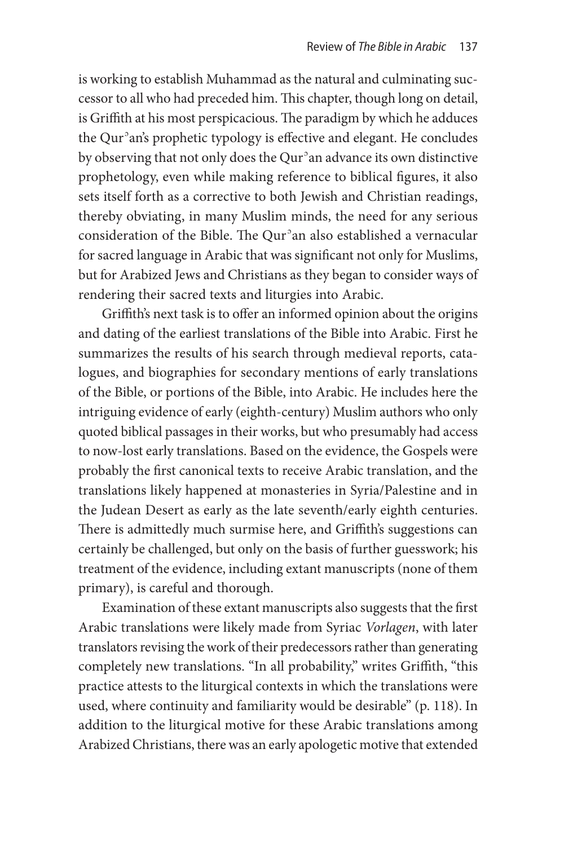is working to establish Muhammad as the natural and culminating successor to all who had preceded him. This chapter, though long on detail, is Griffith at his most perspicacious. The paradigm by which he adduces the Qurʾan's prophetic typology is effective and elegant. He concludes by observing that not only does the Qurʾan advance its own distinctive prophetology, even while making reference to biblical figures, it also sets itself forth as a corrective to both Jewish and Christian readings, thereby obviating, in many Muslim minds, the need for any serious consideration of the Bible. The Qurʾan also established a vernacular for sacred language in Arabic that was significant not only for Muslims, but for Arabized Jews and Christians as they began to consider ways of rendering their sacred texts and liturgies into Arabic.

Griffith's next task is to offer an informed opinion about the origins and dating of the earliest translations of the Bible into Arabic. First he summarizes the results of his search through medieval reports, catalogues, and biographies for secondary mentions of early translations of the Bible, or portions of the Bible, into Arabic. He includes here the intriguing evidence of early (eighth-century) Muslim authors who only quoted biblical passages in their works, but who presumably had access to now-lost early translations. Based on the evidence, the Gospels were probably the first canonical texts to receive Arabic translation, and the translations likely happened at monasteries in Syria/Palestine and in the Judean Desert as early as the late seventh/early eighth centuries. There is admittedly much surmise here, and Griffith's suggestions can certainly be challenged, but only on the basis of further guesswork; his treatment of the evidence, including extant manuscripts (none of them primary), is careful and thorough.

Examination of these extant manuscripts also suggests that the first Arabic translations were likely made from Syriac *Vorlagen*, with later translators revising the work of their predecessors rather than generating completely new translations. "In all probability," writes Griffith, "this practice attests to the liturgical contexts in which the translations were used, where continuity and familiarity would be desirable" (p. 118). In addition to the liturgical motive for these Arabic translations among Arabized Christians, there was an early apologetic motive that extended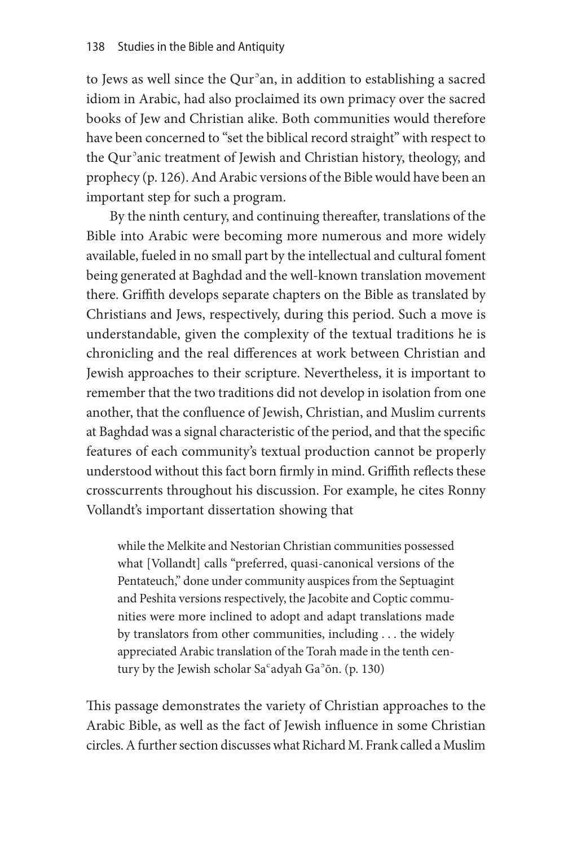to Jews as well since the Qurʾan, in addition to establishing a sacred idiom in Arabic, had also proclaimed its own primacy over the sacred books of Jew and Christian alike. Both communities would therefore have been concerned to "set the biblical record straight" with respect to the Qurʾanic treatment of Jewish and Christian history, theology, and prophecy (p. 126). And Arabic versions of the Bible would have been an important step for such a program.

By the ninth century, and continuing thereafter, translations of the Bible into Arabic were becoming more numerous and more widely available, fueled in no small part by the intellectual and cultural foment being generated at Baghdad and the well-known translation movement there. Griffith develops separate chapters on the Bible as translated by Christians and Jews, respectively, during this period. Such a move is understandable, given the complexity of the textual traditions he is chronicling and the real differences at work between Christian and Jewish approaches to their scripture. Nevertheless, it is important to remember that the two traditions did not develop in isolation from one another, that the confluence of Jewish, Christian, and Muslim currents at Baghdad was a signal characteristic of the period, and that the specific features of each community's textual production cannot be properly understood without this fact born firmly in mind. Griffith reflects these crosscurrents throughout his discussion. For example, he cites Ronny Vollandt's important dissertation showing that

while the Melkite and Nestorian Christian communities possessed what [Vollandt] calls "preferred, quasi-canonical versions of the Pentateuch," done under community auspices from the Septuagint and Peshita versions respectively, the Jacobite and Coptic communities were more inclined to adopt and adapt translations made by translators from other communities, including . . . the widely appreciated Arabic translation of the Torah made in the tenth century by the Jewish scholar Saʿadyah Gaʾōn. (p. 130)

This passage demonstrates the variety of Christian approaches to the Arabic Bible, as well as the fact of Jewish influence in some Christian circles. A further section discusses what Richard M. Frank called a Muslim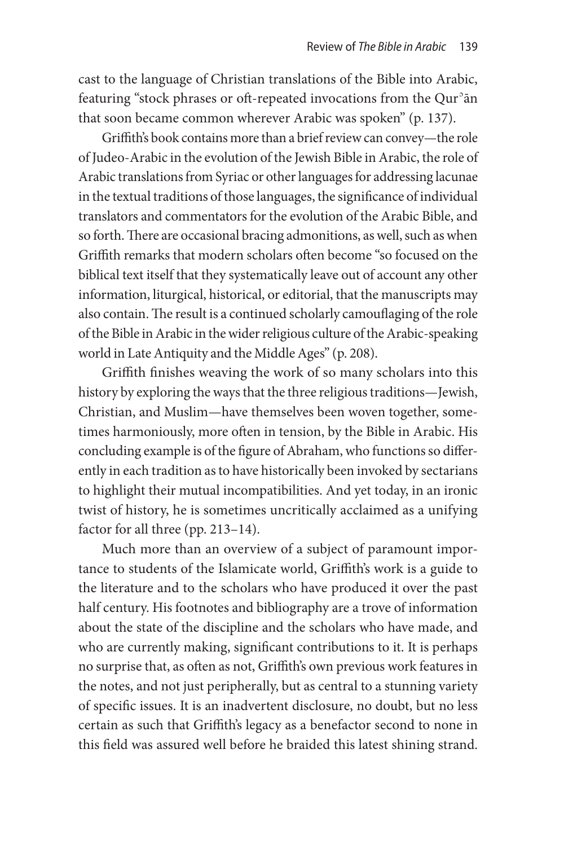cast to the language of Christian translations of the Bible into Arabic, featuring "stock phrases or oft-repeated invocations from the Qur<sup>3</sup>an that soon became common wherever Arabic was spoken" (p. 137).

Griffith's book contains more than a brief review can convey—the role of Judeo-Arabic in the evolution of the Jewish Bible in Arabic, the role of Arabic translations from Syriac or other languages for addressing lacunae in the textual traditions of those languages, the significance of individual translators and commentators for the evolution of the Arabic Bible, and so forth. There are occasional bracing admonitions, as well, such as when Griffith remarks that modern scholars often become "so focused on the biblical text itself that they systematically leave out of account any other information, liturgical, historical, or editorial, that the manuscripts may also contain. The result is a continued scholarly camouflaging of the role of the Bible in Arabic in the wider religious culture of the Arabic-speaking world in Late Antiquity and the Middle Ages" (p. 208).

Griffith finishes weaving the work of so many scholars into this history by exploring the ways that the three religious traditions—Jewish, Christian, and Muslim—have themselves been woven together, sometimes harmoniously, more often in tension, by the Bible in Arabic. His concluding example is of the figure of Abraham, who functions so differently in each tradition as to have historically been invoked by sectarians to highlight their mutual incompatibilities. And yet today, in an ironic twist of history, he is sometimes uncritically acclaimed as a unifying factor for all three (pp. 213–14).

Much more than an overview of a subject of paramount importance to students of the Islamicate world, Griffith's work is a guide to the literature and to the scholars who have produced it over the past half century. His footnotes and bibliography are a trove of information about the state of the discipline and the scholars who have made, and who are currently making, significant contributions to it. It is perhaps no surprise that, as often as not, Griffith's own previous work features in the notes, and not just peripherally, but as central to a stunning variety of specific issues. It is an inadvertent disclosure, no doubt, but no less certain as such that Griffith's legacy as a benefactor second to none in this field was assured well before he braided this latest shining strand.